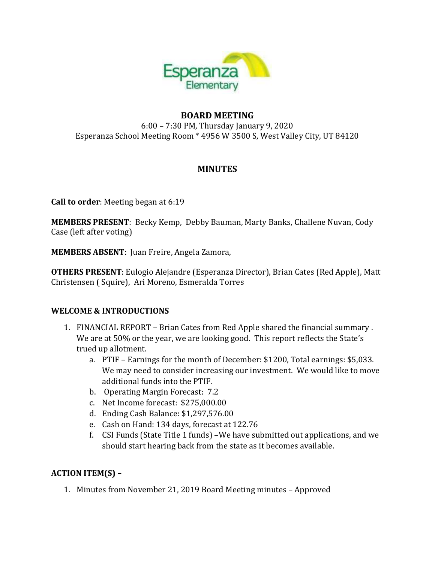

#### **BOARD MEETING** 6:00 – 7:30 PM, Thursday January 9, 2020 Esperanza School Meeting Room \* 4956 W 3500 S, West Valley City, UT 84120

# **MINUTES**

**Call to order**: Meeting began at 6:19

**MEMBERS PRESENT**: Becky Kemp, Debby Bauman, Marty Banks, Challene Nuvan, Cody Case (left after voting)

**MEMBERS ABSENT**: Juan Freire, Angela Zamora,

**OTHERS PRESENT**: Eulogio Alejandre (Esperanza Director), Brian Cates (Red Apple), Matt Christensen ( Squire), Ari Moreno, Esmeralda Torres

#### **WELCOME & INTRODUCTIONS**

- 1. FINANCIAL REPORT Brian Cates from Red Apple shared the financial summary . We are at 50% or the year, we are looking good. This report reflects the State's trued up allotment.
	- a. PTIF Earnings for the month of December: \$1200, Total earnings: \$5,033. We may need to consider increasing our investment. We would like to move additional funds into the PTIF.
	- b. Operating Margin Forecast: 7.2
	- c. Net Income forecast: \$275,000.00
	- d. Ending Cash Balance: \$1,297,576.00
	- e. Cash on Hand: 134 days, forecast at 122.76
	- f. CSI Funds (State Title 1 funds) –We have submitted out applications, and we should start hearing back from the state as it becomes available.

### **ACTION ITEM(S) –**

1. Minutes from November 21, 2019 Board Meeting minutes – Approved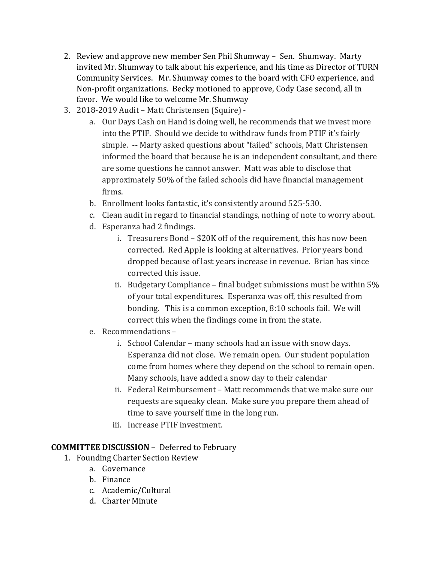- 2. Review and approve new member Sen Phil Shumway Sen. Shumway. Marty invited Mr. Shumway to talk about his experience, and his time as Director of TURN Community Services. Mr. Shumway comes to the board with CFO experience, and Non-profit organizations. Becky motioned to approve, Cody Case second, all in favor. We would like to welcome Mr. Shumway
- 3. 2018-2019 Audit Matt Christensen (Squire)
	- a. Our Days Cash on Hand is doing well, he recommends that we invest more into the PTIF. Should we decide to withdraw funds from PTIF it's fairly simple. -- Marty asked questions about "failed" schools, Matt Christensen informed the board that because he is an independent consultant, and there are some questions he cannot answer. Matt was able to disclose that approximately 50% of the failed schools did have financial management firms.
	- b. Enrollment looks fantastic, it's consistently around 525-530.
	- c. Clean audit in regard to financial standings, nothing of note to worry about.
	- d. Esperanza had 2 findings.
		- i. Treasurers Bond \$20K off of the requirement, this has now been corrected. Red Apple is looking at alternatives. Prior years bond dropped because of last years increase in revenue. Brian has since corrected this issue.
		- ii. Budgetary Compliance final budget submissions must be within 5% of your total expenditures. Esperanza was off, this resulted from bonding. This is a common exception, 8:10 schools fail. We will correct this when the findings come in from the state.
	- e. Recommendations
		- i. School Calendar many schools had an issue with snow days. Esperanza did not close. We remain open. Our student population come from homes where they depend on the school to remain open. Many schools, have added a snow day to their calendar
		- ii. Federal Reimbursement Matt recommends that we make sure our requests are squeaky clean. Make sure you prepare them ahead of time to save yourself time in the long run.
		- iii. Increase PTIF investment.

### **COMMITTEE DISCUSSION** – Deferred to February

- 1. Founding Charter Section Review
	- a. Governance
	- b. Finance
	- c. Academic/Cultural
	- d. Charter Minute